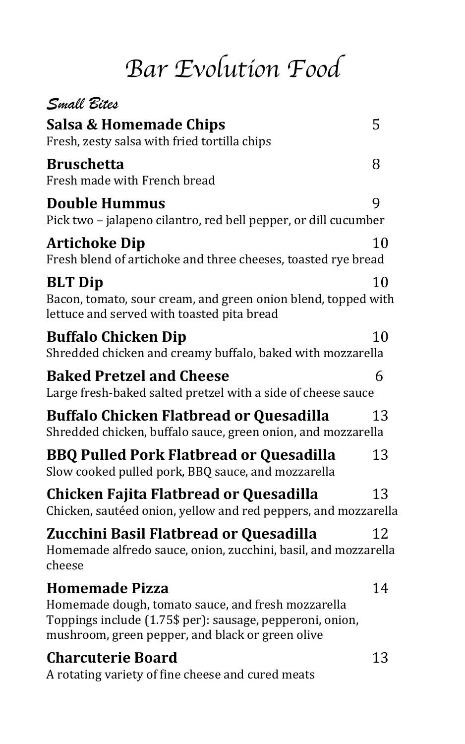## *Bar Evolution Food*

| Small Bites                                                                                                                                                                                  |    |
|----------------------------------------------------------------------------------------------------------------------------------------------------------------------------------------------|----|
| Salsa & Homemade Chips                                                                                                                                                                       | 5  |
| Fresh, zesty salsa with fried tortilla chips                                                                                                                                                 |    |
| <b>Bruschetta</b>                                                                                                                                                                            | 8  |
| Fresh made with French bread                                                                                                                                                                 |    |
| <b>Double Hummus</b><br>Pick two - jalapeno cilantro, red bell pepper, or dill cucumber                                                                                                      | 9  |
| <b>Artichoke Dip</b><br>Fresh blend of artichoke and three cheeses, toasted rye bread                                                                                                        | 10 |
| <b>BLT</b> Dip                                                                                                                                                                               | 10 |
| Bacon, tomato, sour cream, and green onion blend, topped with<br>lettuce and served with toasted pita bread                                                                                  |    |
| <b>Buffalo Chicken Dip</b><br>Shredded chicken and creamy buffalo, baked with mozzarella                                                                                                     | 10 |
| <b>Baked Pretzel and Cheese</b><br>Large fresh-baked salted pretzel with a side of cheese sauce                                                                                              | 6  |
| <b>Buffalo Chicken Flatbread or Quesadilla</b><br>Shredded chicken, buffalo sauce, green onion, and mozzarella                                                                               | 13 |
| <b>BBQ Pulled Pork Flatbread or Quesadilla</b><br>Slow cooked pulled pork, BBQ sauce, and mozzarella                                                                                         | 13 |
| Chicken Fajita Flatbread or Quesadilla<br>Chicken, sautéed onion, yellow and red peppers, and mozzarella                                                                                     | 13 |
| Zucchini Basil Flatbread or Quesadilla<br>Homemade alfredo sauce, onion, zucchini, basil, and mozzarella<br>cheese                                                                           | 12 |
| <b>Homemade Pizza</b><br>Homemade dough, tomato sauce, and fresh mozzarella<br>Toppings include (1.75\$ per): sausage, pepperoni, onion,<br>mushroom, green pepper, and black or green olive | 14 |
| <b>Charcuterie Board</b><br>A rotating variety of fine cheese and cured meats                                                                                                                | 13 |